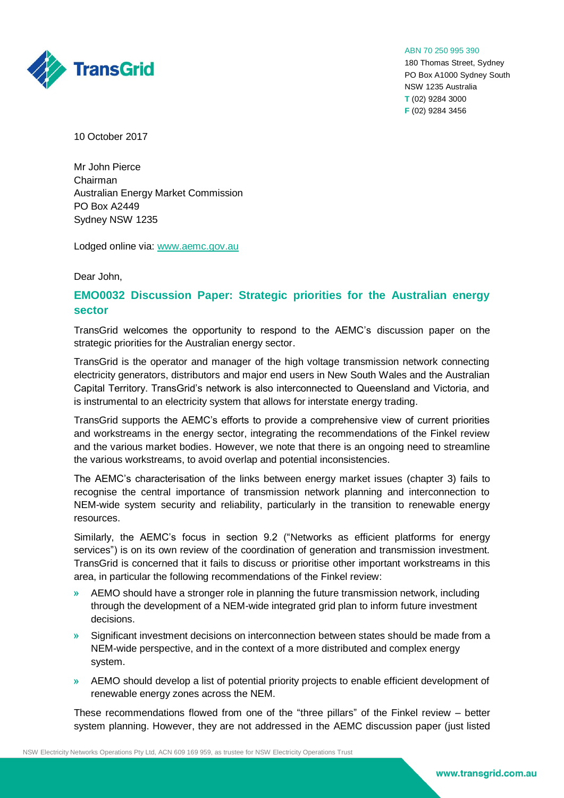ABN 70 250 995 390

180 Thomas Street, Sydney PO Box A1000 Sydney South NSW 1235 Australia **T** (02) 9284 3000 **F** (02) 9284 3456



10 October 2017

Mr John Pierce Chairman Australian Energy Market Commission PO Box A2449 Sydney NSW 1235

Lodged online via: [www.aemc.gov.au](http://www.aemc.gov.au/)

Dear John,

## **EMO0032 Discussion Paper: Strategic priorities for the Australian energy sector**

TransGrid welcomes the opportunity to respond to the AEMC's discussion paper on the strategic priorities for the Australian energy sector.

TransGrid is the operator and manager of the high voltage transmission network connecting electricity generators, distributors and major end users in New South Wales and the Australian Capital Territory. TransGrid's network is also interconnected to Queensland and Victoria, and is instrumental to an electricity system that allows for interstate energy trading.

TransGrid supports the AEMC's efforts to provide a comprehensive view of current priorities and workstreams in the energy sector, integrating the recommendations of the Finkel review and the various market bodies. However, we note that there is an ongoing need to streamline the various workstreams, to avoid overlap and potential inconsistencies.

The AEMC's characterisation of the links between energy market issues (chapter 3) fails to recognise the central importance of transmission network planning and interconnection to NEM-wide system security and reliability, particularly in the transition to renewable energy resources.

Similarly, the AEMC's focus in section 9.2 ("Networks as efficient platforms for energy services") is on its own review of the coordination of generation and transmission investment. TransGrid is concerned that it fails to discuss or prioritise other important workstreams in this area, in particular the following recommendations of the Finkel review:

- » AEMO should have a stronger role in planning the future transmission network, including through the development of a NEM-wide integrated grid plan to inform future investment decisions.
- » Significant investment decisions on interconnection between states should be made from a NEM-wide perspective, and in the context of a more distributed and complex energy system.
- » AEMO should develop a list of potential priority projects to enable efficient development of renewable energy zones across the NEM.

These recommendations flowed from one of the "three pillars" of the Finkel review – better system planning. However, they are not addressed in the AEMC discussion paper (just listed